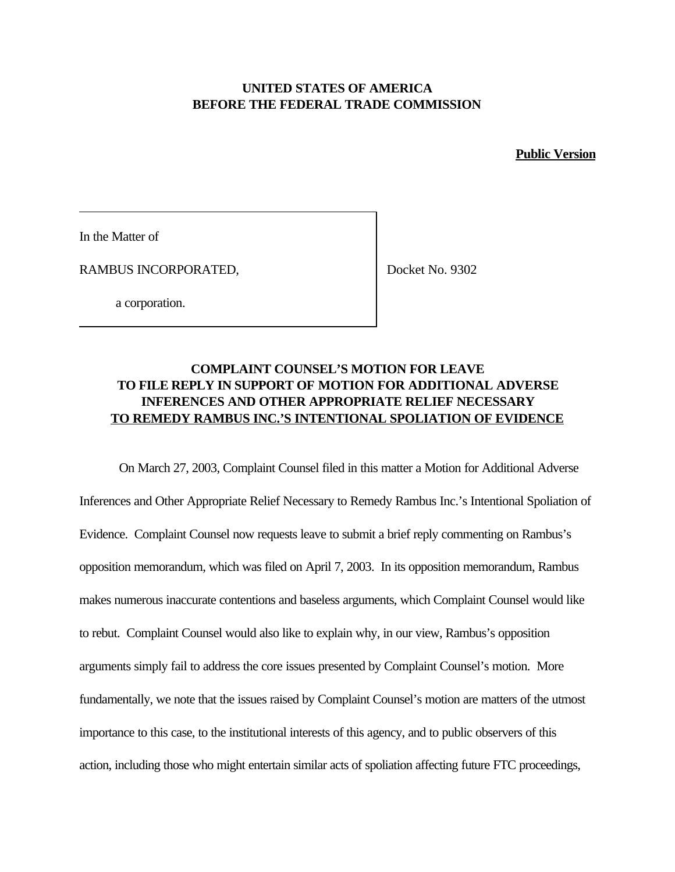## **UNITED STATES OF AMERICA BEFORE THE FEDERAL TRADE COMMISSION**

**Public Version**

In the Matter of

RAMBUS INCORPORATED,

Docket No. 9302

a corporation.

## **COMPLAINT COUNSEL'S MOTION FOR LEAVE TO FILE REPLY IN SUPPORT OF MOTION FOR ADDITIONAL ADVERSE INFERENCES AND OTHER APPROPRIATE RELIEF NECESSARY TO REMEDY RAMBUS INC.'S INTENTIONAL SPOLIATION OF EVIDENCE**

On March 27, 2003, Complaint Counsel filed in this matter a Motion for Additional Adverse Inferences and Other Appropriate Relief Necessary to Remedy Rambus Inc.'s Intentional Spoliation of Evidence. Complaint Counsel now requests leave to submit a brief reply commenting on Rambus's opposition memorandum, which was filed on April 7, 2003. In its opposition memorandum, Rambus makes numerous inaccurate contentions and baseless arguments, which Complaint Counsel would like to rebut. Complaint Counsel would also like to explain why, in our view, Rambus's opposition arguments simply fail to address the core issues presented by Complaint Counsel's motion. More fundamentally, we note that the issues raised by Complaint Counsel's motion are matters of the utmost importance to this case, to the institutional interests of this agency, and to public observers of this action, including those who might entertain similar acts of spoliation affecting future FTC proceedings,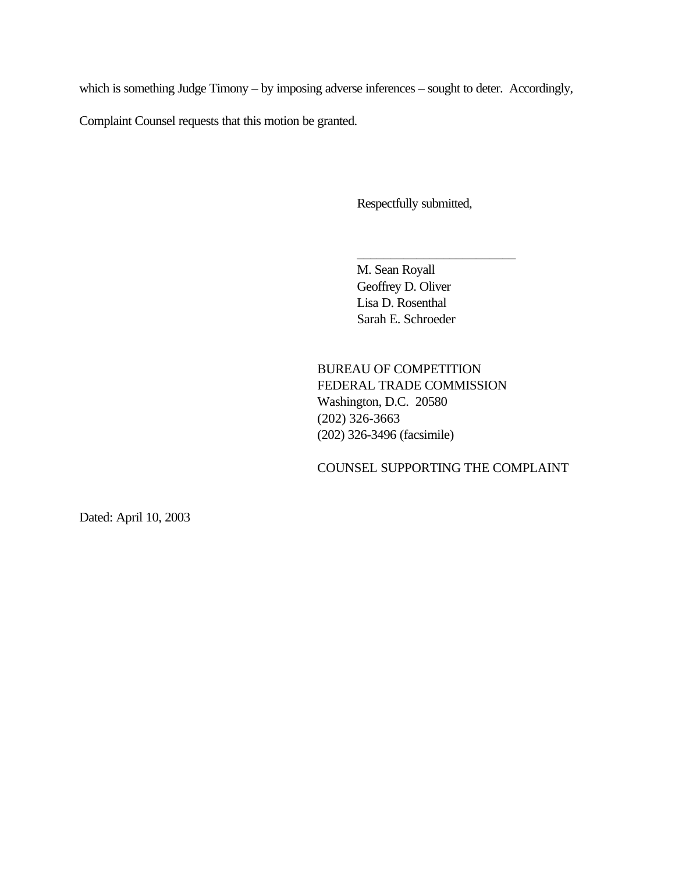which is something Judge Timony – by imposing adverse inferences – sought to deter. Accordingly,

Complaint Counsel requests that this motion be granted.

Respectfully submitted,

\_\_\_\_\_\_\_\_\_\_\_\_\_\_\_\_\_\_\_\_\_\_\_\_

M. Sean Royall Geoffrey D. Oliver Lisa D. Rosenthal Sarah E. Schroeder

BUREAU OF COMPETITION FEDERAL TRADE COMMISSION Washington, D.C. 20580 (202) 326-3663 (202) 326-3496 (facsimile)

COUNSEL SUPPORTING THE COMPLAINT

Dated: April 10, 2003